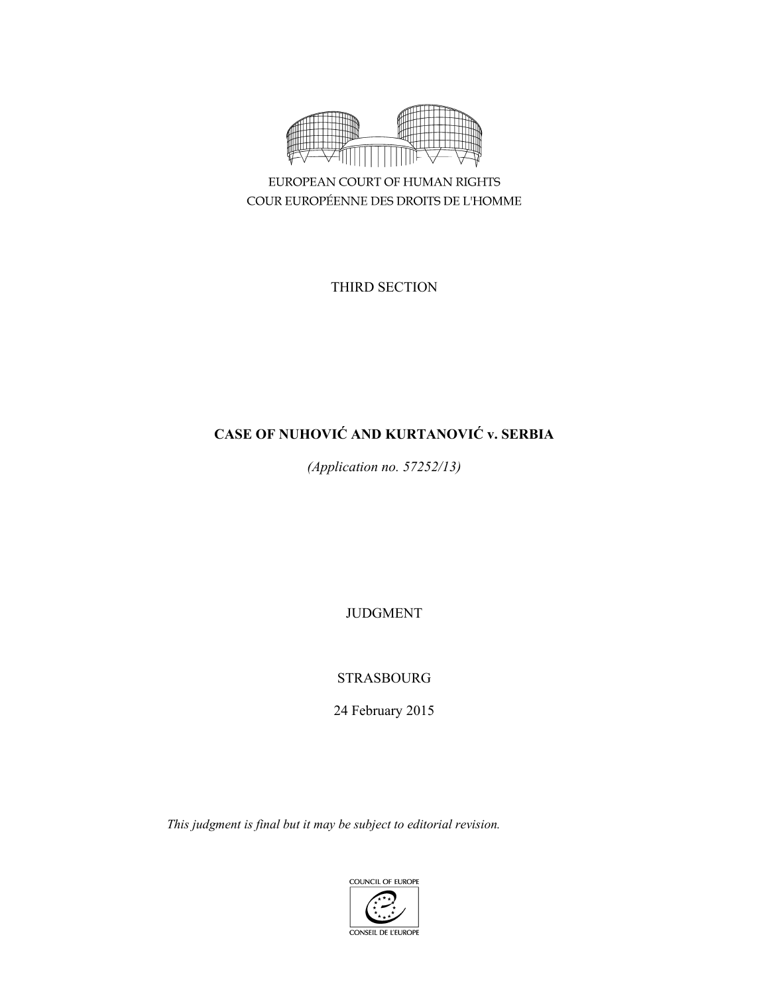

EUROPEAN COURT OF HUMAN RIGHTS COUR EUROPÉENNE DES DROITS DE L'HOMME

THIRD SECTION

# **CASE OF NUHOVIĆ AND KURTANOVIĆ v. SERBIA**

*(Application no. 57252/13)* 

JUDGMENT

STRASBOURG

24 February 2015

*This judgment is final but it may be subject to editorial revision.* 

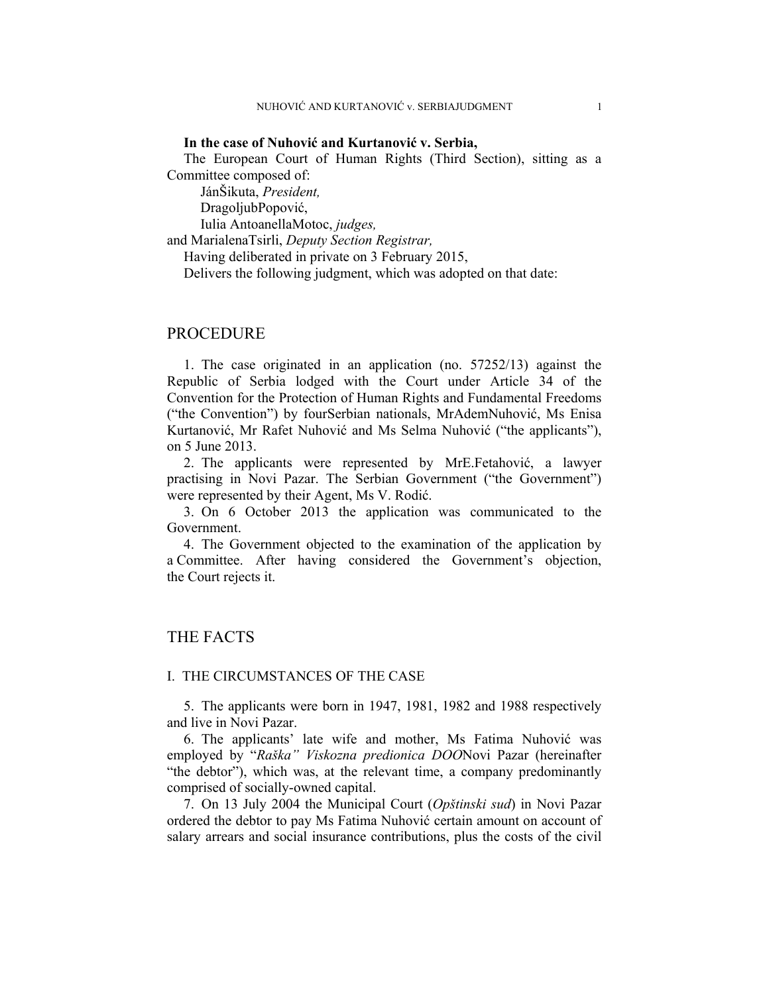### **In the case of Nuhović and Kurtanović v. Serbia,**

The European Court of Human Rights (Third Section), sitting as a Committee composed of:

 JánŠikuta, *President,*  DragoljubPopović,

Iulia AntoanellaMotoc, *judges,*

and MarialenaTsirli, *Deputy Section Registrar,*

Having deliberated in private on 3 February 2015,

Delivers the following judgment, which was adopted on that date:

## **PROCEDURE**

1. The case originated in an application (no. 57252/13) against the Republic of Serbia lodged with the Court under Article 34 of the Convention for the Protection of Human Rights and Fundamental Freedoms ("the Convention") by fourSerbian nationals, MrAdemNuhović, Ms Enisa Kurtanović, Mr Rafet Nuhović and Ms Selma Nuhović ("the applicants"), on 5 June 2013.

2. The applicants were represented by MrE.Fetahović, a lawyer practising in Novi Pazar. The Serbian Government ("the Government") were represented by their Agent, Ms V. Rodić.

3. On 6 October 2013 the application was communicated to the Government.

4. The Government objected to the examination of the application by a Committee. After having considered the Government's objection, the Court rejects it.

## THE FACTS

## I. THE CIRCUMSTANCES OF THE CASE

5. The applicants were born in 1947, 1981, 1982 and 1988 respectively and live in Novi Pazar.

6. The applicants' late wife and mother, Ms Fatima Nuhović was employed by "*Raška" Viskozna predionica DOO*Novi Pazar (hereinafter "the debtor"), which was, at the relevant time, a company predominantly comprised of socially-owned capital.

7. On 13 July 2004 the Municipal Court (*Opštinski sud*) in Novi Pazar ordered the debtor to pay Ms Fatima Nuhović certain amount on account of salary arrears and social insurance contributions, plus the costs of the civil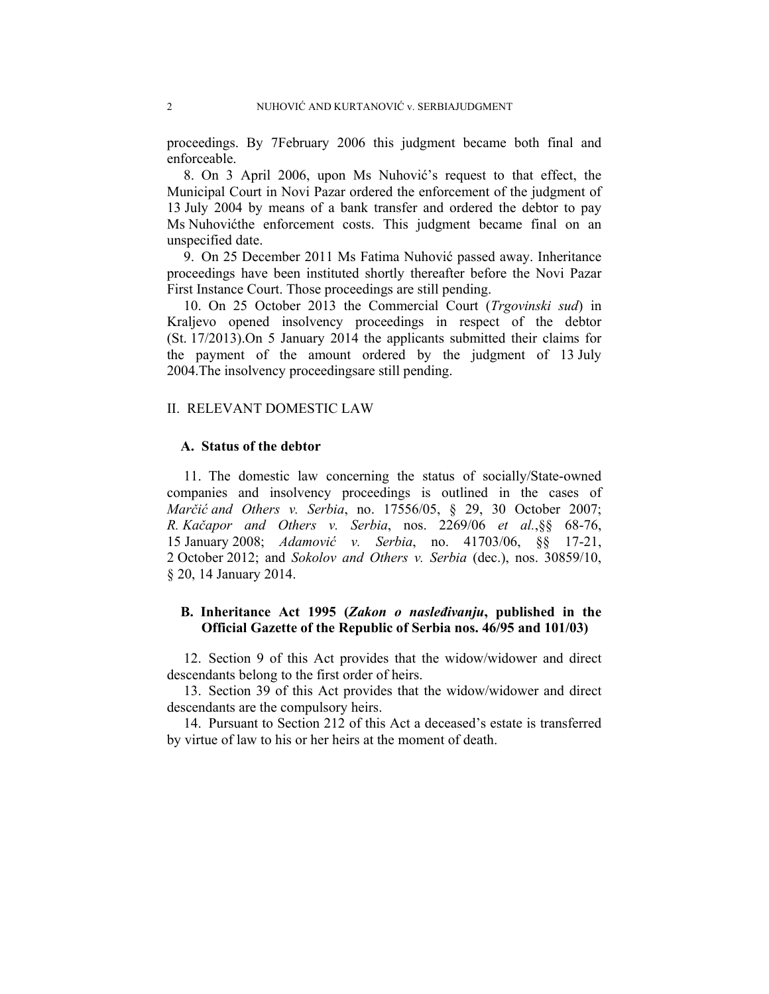proceedings. By 7February 2006 this judgment became both final and enforceable.

8. On 3 April 2006, upon Ms Nuhović's request to that effect, the Municipal Court in Novi Pazar ordered the enforcement of the judgment of 13 July 2004 by means of a bank transfer and ordered the debtor to pay Ms Nuhovićthe enforcement costs. This judgment became final on an unspecified date.

9. On 25 December 2011 Ms Fatima Nuhović passed away. Inheritance proceedings have been instituted shortly thereafter before the Novi Pazar First Instance Court. Those proceedings are still pending.

10. On 25 October 2013 the Commercial Court (*Trgovinski sud*) in Kraljevo opened insolvency proceedings in respect of the debtor (St. 17/2013).On 5 January 2014 the applicants submitted their claims for the payment of the amount ordered by the judgment of 13 July 2004.The insolvency proceedingsare still pending.

## II. RELEVANT DOMESTIC LAW

### **A. Status of the debtor**

11. The domestic law concerning the status of socially/State-owned companies and insolvency proceedings is outlined in the cases of *Marčić and Others v. Serbia*, no. 17556/05, § 29, 30 October 2007; *R. Kačapor and Others v. Serbia*, nos. 2269/06 *et al.*,§§ 68-76, 15 January 2008; *Adamović v. Serbia*, no. 41703/06, §§ 17-21, 2 October 2012; and *Sokolov and Others v. Serbia* (dec.), nos. 30859/10, § 20, 14 January 2014.

## **B. Inheritance Act 1995 (***Zakon o nasleđivanju***, published in the Official Gazette of the Republic of Serbia nos. 46/95 and 101/03)**

12. Section 9 of this Act provides that the widow/widower and direct descendants belong to the first order of heirs.

13. Section 39 of this Act provides that the widow/widower and direct descendants are the compulsory heirs.

14. Pursuant to Section 212 of this Act a deceased's estate is transferred by virtue of law to his or her heirs at the moment of death.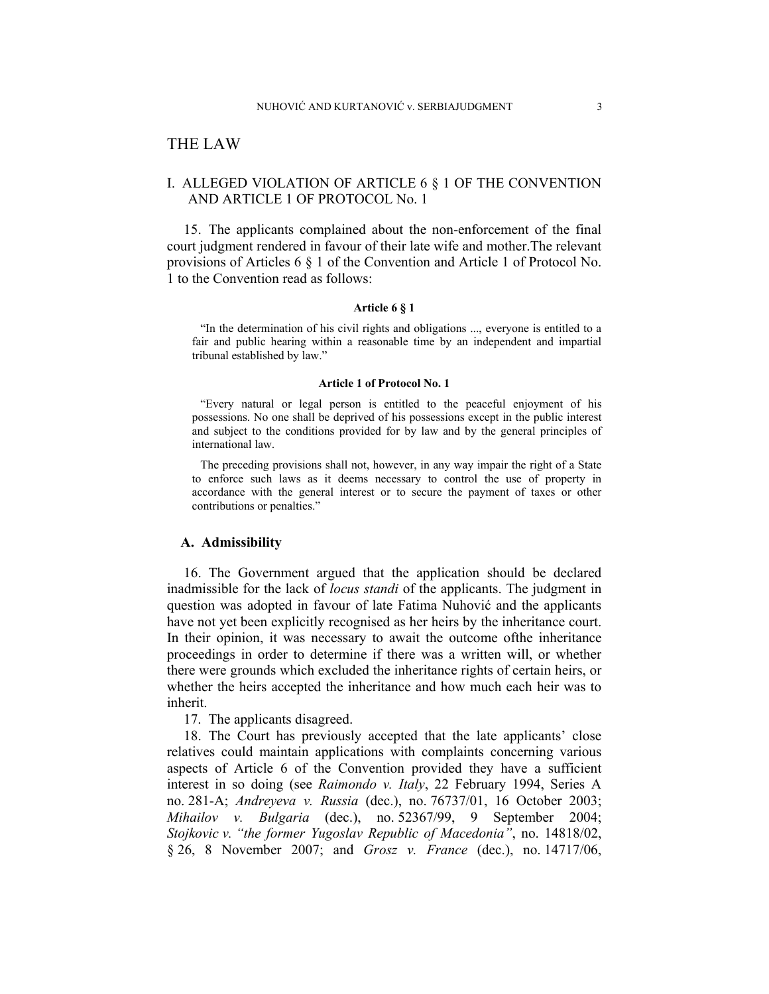## THE LAW

## I. ALLEGED VIOLATION OF ARTICLE 6 § 1 OF THE CONVENTION AND ARTICLE 1 OF PROTOCOL No. 1

15. The applicants complained about the non-enforcement of the final court judgment rendered in favour of their late wife and mother.The relevant provisions of Articles 6 § 1 of the Convention and Article 1 of Protocol No. 1 to the Convention read as follows:

#### **Article 6 § 1**

"In the determination of his civil rights and obligations ..., everyone is entitled to a fair and public hearing within a reasonable time by an independent and impartial tribunal established by law."

#### **Article 1 of Protocol No. 1**

"Every natural or legal person is entitled to the peaceful enjoyment of his possessions. No one shall be deprived of his possessions except in the public interest and subject to the conditions provided for by law and by the general principles of international law.

The preceding provisions shall not, however, in any way impair the right of a State to enforce such laws as it deems necessary to control the use of property in accordance with the general interest or to secure the payment of taxes or other contributions or penalties."

#### **A. Admissibility**

16. The Government argued that the application should be declared inadmissible for the lack of *locus standi* of the applicants. The judgment in question was adopted in favour of late Fatima Nuhović and the applicants have not yet been explicitly recognised as her heirs by the inheritance court. In their opinion, it was necessary to await the outcome ofthe inheritance proceedings in order to determine if there was a written will, or whether there were grounds which excluded the inheritance rights of certain heirs, or whether the heirs accepted the inheritance and how much each heir was to inherit.

17. The applicants disagreed.

18. The Court has previously accepted that the late applicants' close relatives could maintain applications with complaints concerning various aspects of Article 6 of the Convention provided they have a sufficient interest in so doing (see *Raimondo v. Italy*, 22 February 1994, Series A no. 281-A; *Andreyeva v. Russia* (dec.), no. 76737/01, 16 October 2003; *Mihailov v. Bulgaria* (dec.), no. 52367/99, 9 September 2004; *Stojkovic v. "the former Yugoslav Republic of Macedonia"*, no. 14818/02, § 26, 8 November 2007; and *Grosz v. France* (dec.), no. 14717/06,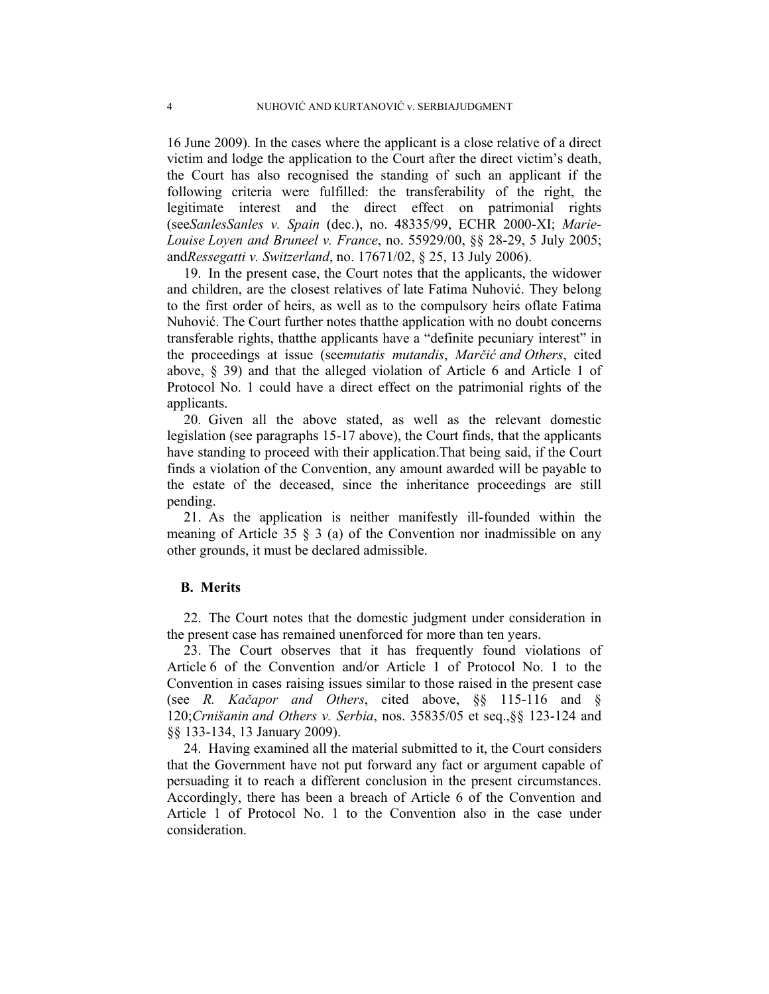16 June 2009). In the cases where the applicant is a close relative of a direct victim and lodge the application to the Court after the direct victim's death, the Court has also recognised the standing of such an applicant if the following criteria were fulfilled: the transferability of the right, the legitimate interest and the direct effect on patrimonial rights (see*SanlesSanles v. Spain* (dec.), no. 48335/99, ECHR 2000-XI; *Marie-Louise Loyen and Bruneel v. France*, no. 55929/00, §§ 28-29, 5 July 2005; and*Ressegatti v. Switzerland*, no. 17671/02, § 25, 13 July 2006).

19. In the present case, the Court notes that the applicants, the widower and children, are the closest relatives of late Fatima Nuhović. They belong to the first order of heirs, as well as to the compulsory heirs oflate Fatima Nuhović. The Court further notes thatthe application with no doubt concerns transferable rights, thatthe applicants have a "definite pecuniary interest" in the proceedings at issue (see*mutatis mutandis*, *Marčić and Others*, cited above, § 39) and that the alleged violation of Article 6 and Article 1 of Protocol No. 1 could have a direct effect on the patrimonial rights of the applicants.

20. Given all the above stated, as well as the relevant domestic legislation (see paragraphs 15-17 above), the Court finds, that the applicants have standing to proceed with their application.That being said, if the Court finds a violation of the Convention, any amount awarded will be payable to the estate of the deceased, since the inheritance proceedings are still pending.

21. As the application is neither manifestly ill-founded within the meaning of Article 35 § 3 (a) of the Convention nor inadmissible on any other grounds, it must be declared admissible.

## **B. Merits**

22. The Court notes that the domestic judgment under consideration in the present case has remained unenforced for more than ten years.

23. The Court observes that it has frequently found violations of Article 6 of the Convention and/or Article 1 of Protocol No. 1 to the Convention in cases raising issues similar to those raised in the present case (see *R. Kačapor and Others*, cited above, §§ 115-116 and § 120;*Crnišanin and Others v. Serbia*, nos. 35835/05 et seq.,§§ 123-124 and §§ 133-134, 13 January 2009).

24. Having examined all the material submitted to it, the Court considers that the Government have not put forward any fact or argument capable of persuading it to reach a different conclusion in the present circumstances. Accordingly, there has been a breach of Article 6 of the Convention and Article 1 of Protocol No. 1 to the Convention also in the case under consideration.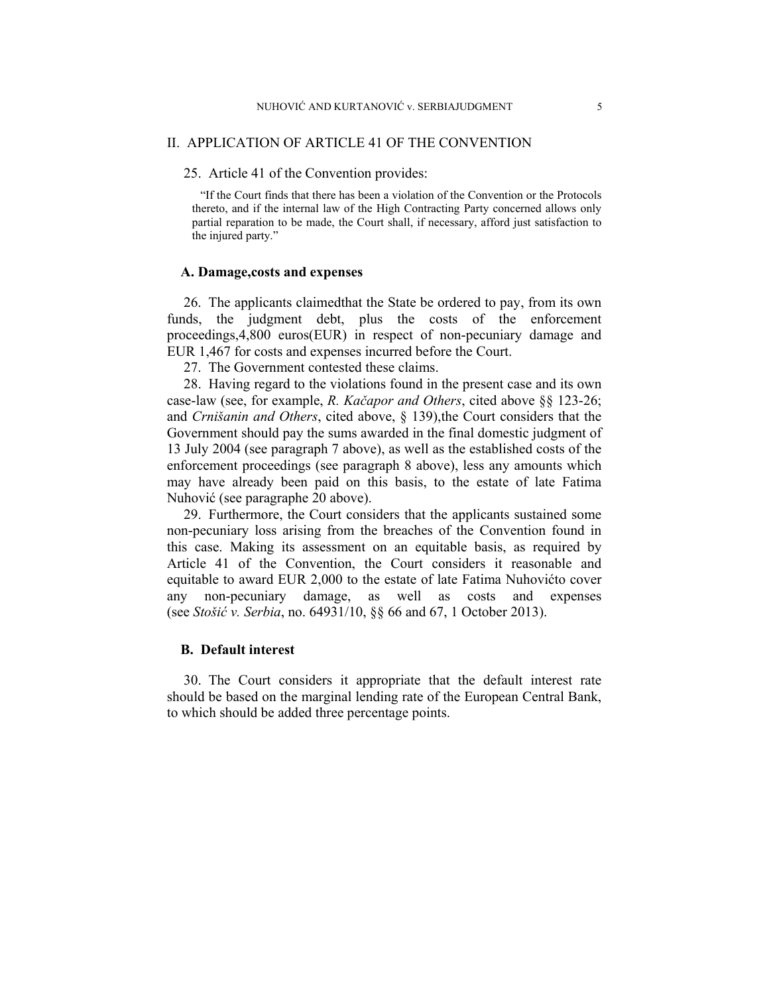### II. APPLICATION OF ARTICLE 41 OF THE CONVENTION

## 25. Article 41 of the Convention provides:

"If the Court finds that there has been a violation of the Convention or the Protocols thereto, and if the internal law of the High Contracting Party concerned allows only partial reparation to be made, the Court shall, if necessary, afford just satisfaction to the injured party."

### **A. Damage,costs and expenses**

26. The applicants claimedthat the State be ordered to pay, from its own funds, the judgment debt, plus the costs of the enforcement proceedings,4,800 euros(EUR) in respect of non-pecuniary damage and EUR 1,467 for costs and expenses incurred before the Court.

27. The Government contested these claims.

28. Having regard to the violations found in the present case and its own case-law (see, for example, *R. Kačapor and Others*, cited above §§ 123-26; and *Crnišanin and Others*, cited above, § 139),the Court considers that the Government should pay the sums awarded in the final domestic judgment of 13 July 2004 (see paragraph 7 above), as well as the established costs of the enforcement proceedings (see paragraph 8 above), less any amounts which may have already been paid on this basis, to the estate of late Fatima Nuhović (see paragraphe 20 above).

29. Furthermore, the Court considers that the applicants sustained some non-pecuniary loss arising from the breaches of the Convention found in this case. Making its assessment on an equitable basis, as required by Article 41 of the Convention, the Court considers it reasonable and equitable to award EUR 2,000 to the estate of late Fatima Nuhovićto cover any non-pecuniary damage, as well as costs and expenses (see *Stošić v. Serbia*, no. 64931/10, §§ 66 and 67, 1 October 2013).

## **B. Default interest**

30. The Court considers it appropriate that the default interest rate should be based on the marginal lending rate of the European Central Bank, to which should be added three percentage points.